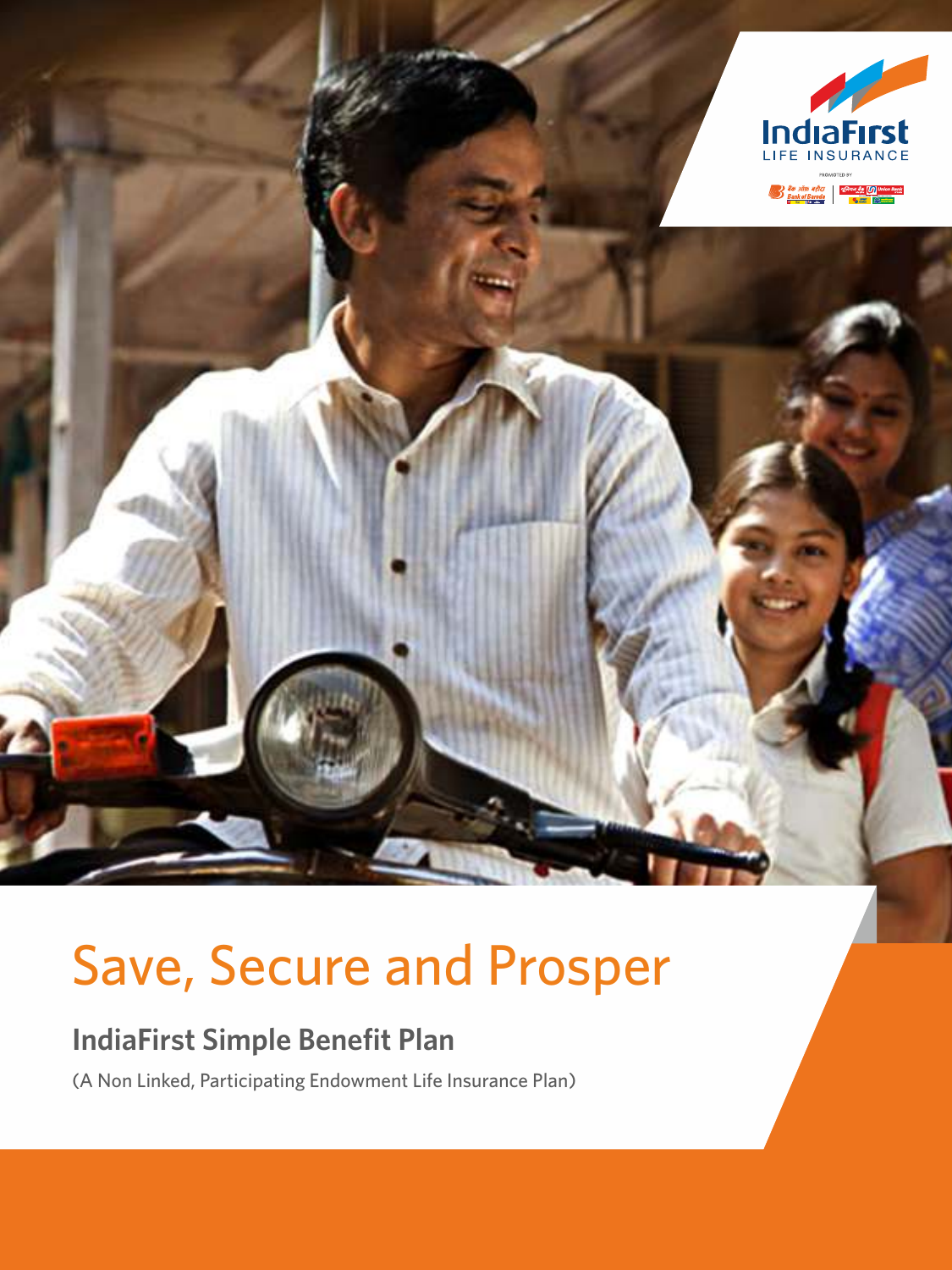

# Save, Secure and Prosper

# **IndiaFirst Simple Benefit Plan**

(A Non Linked, Participating Endowment Life Insurance Plan)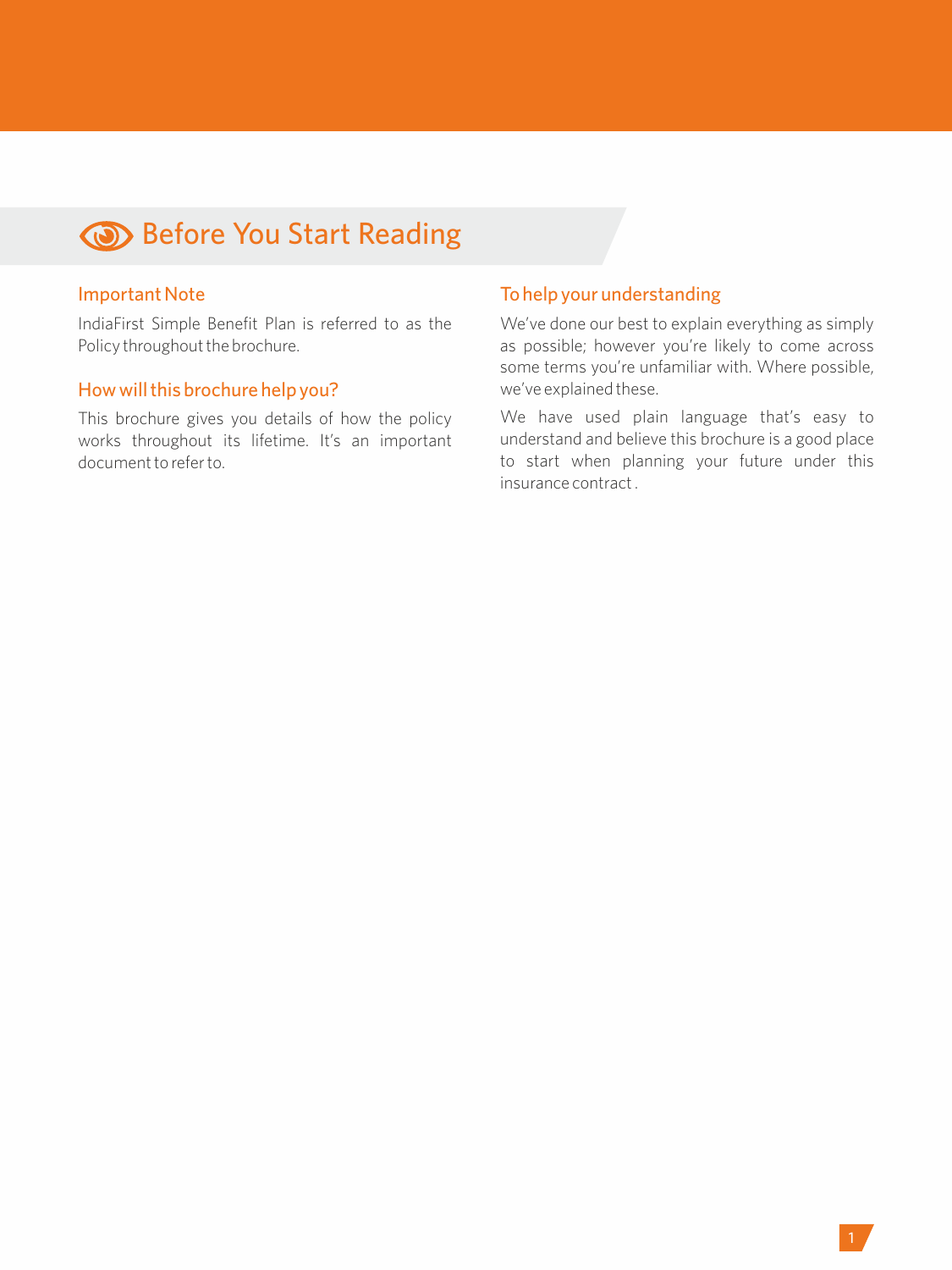# **Before You Start Reading**

### Important Note

IndiaFirst Simple Benefit Plan is referred to as the Policy throughout the brochure.

#### How will this brochure help you?

This brochure gives you details of how the policy works throughout its lifetime. It's an important document to refer to.

# To help your understanding

We've done our best to explain everything as simply as possible; however you're likely to come across some terms you're unfamiliar with. Where possible, we've explained these.

We have used plain language that's easy to understand and believe this brochure is a good place to start when planning your future under this insurance contract .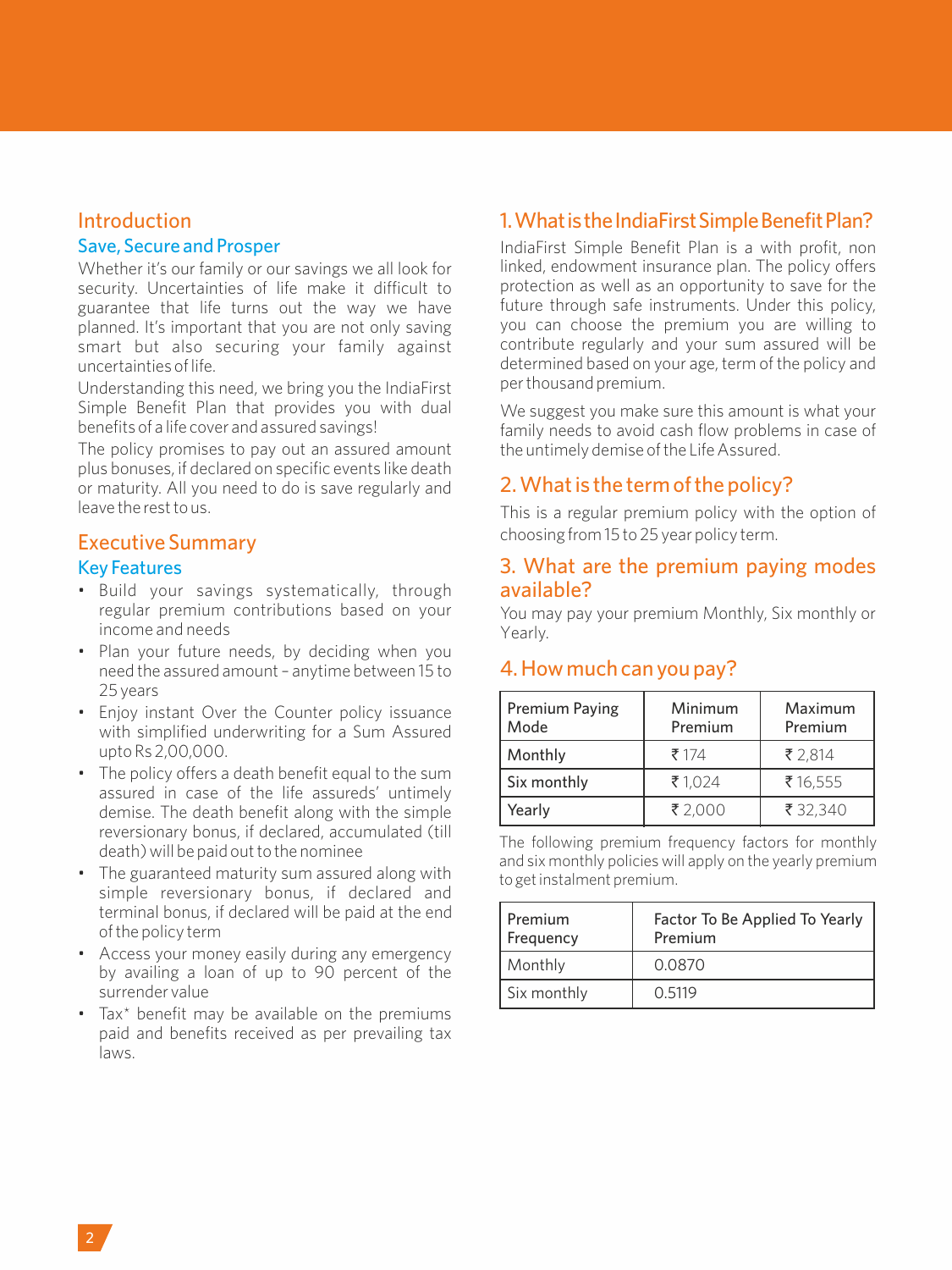#### Introduction

#### Save, Secure and Prosper

Whether it's our family or our savings we all look for security. Uncertainties of life make it difficult to guarantee that life turns out the way we have planned. It's important that you are not only saving smart but also securing your family against uncertainties of life.

Understanding this need, we bring you the IndiaFirst Simple Benefit Plan that provides you with dual benefits of a life cover and assured savings!

The policy promises to pay out an assured amount plus bonuses, if declared on specific events like death or maturity. All you need to do is save regularly and leave the rest to us.

# Executive Summary

#### Key Features

- Build your savings systematically, through regular premium contributions based on your income and needs
- Plan your future needs, by deciding when you need the assured amount – anytime between 15 to 25 years
- Enjoy instant Over the Counter policy issuance with simplified underwriting for a Sum Assured upto Rs 2,00,000.
- The policy offers a death benefit equal to the sum assured in case of the life assureds' untimely demise. The death benefit along with the simple reversionary bonus, if declared, accumulated (till death) will be paid out to the nominee
- The guaranteed maturity sum assured along with simple reversionary bonus, if declared and terminal bonus, if declared will be paid at the end of the policy term
- Access your money easily during any emergency by availing a loan of up to 90 percent of the surrender value
- Tax\* benefit may be available on the premiums paid and benefits received as per prevailing tax laws.

# 1. What is the IndiaFirst Simple Benefit Plan?

IndiaFirst Simple Benefit Plan is a with profit, non linked, endowment insurance plan. The policy offers protection as well as an opportunity to save for the future through safe instruments. Under this policy, you can choose the premium you are willing to contribute regularly and your sum assured will be determined based on your age, term of the policy and per thousand premium.

We suggest you make sure this amount is what your family needs to avoid cash flow problems in case of the untimely demise of the Life Assured.

# 2. What is the term of the policy?

This is a regular premium policy with the option of choosing from 15 to 25 year policy term.

#### 3. What are the premium paying modes available?

You may pay your premium Monthly, Six monthly or Yearly.

# 4. How much can you pay?

| <b>Premium Paying</b><br>Mode | Minimum<br>Premium | Maximum<br>Premium |  |  |  |
|-------------------------------|--------------------|--------------------|--|--|--|
| Monthly                       | 7174               | ₹ 2.814            |  |  |  |
| Six monthly                   | ₹1.024             | ₹16.555            |  |  |  |
| Yearly                        | ₹2.000             | ₹ 32.340           |  |  |  |

The following premium frequency factors for monthly and six monthly policies will apply on the yearly premium to get instalment premium.

| Premium<br>Frequency | Factor To Be Applied To Yearly<br>Premium |  |  |  |  |  |
|----------------------|-------------------------------------------|--|--|--|--|--|
| Monthly              | 0.0870                                    |  |  |  |  |  |
| Six monthly          | 0.5119                                    |  |  |  |  |  |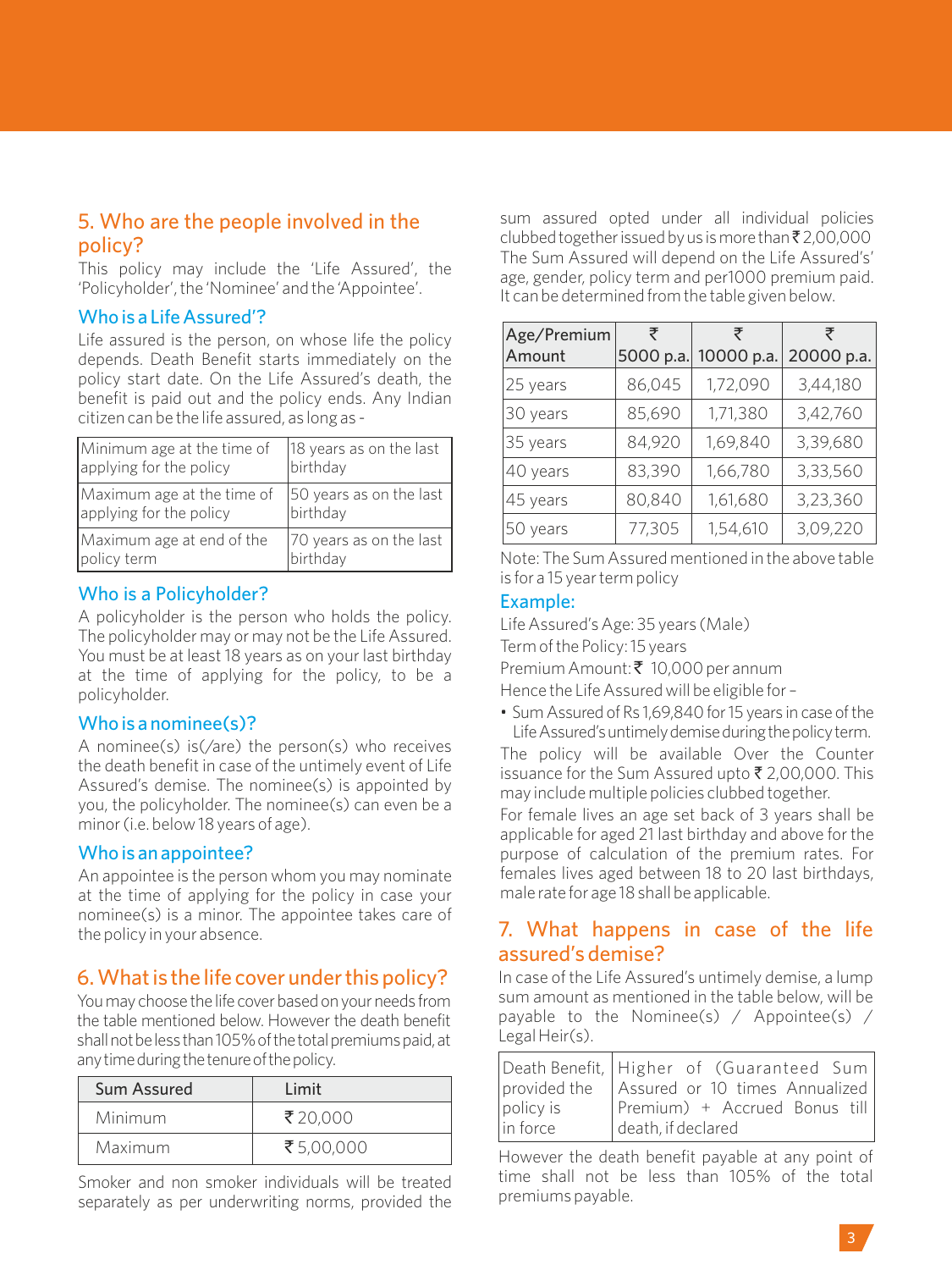# 5. Who are the people involved in the policy?

This policy may include the 'Life Assured', the 'Policyholder', the 'Nominee' and the 'Appointee'.

#### Who is a Life Assured'?

Life assured is the person, on whose life the policy depends. Death Benefit starts immediately on the policy start date. On the Life Assured's death, the benefit is paid out and the policy ends. Any Indian citizen can be the life assured, as long as -

| Minimum age at the time of | 18 years as on the last |
|----------------------------|-------------------------|
| applying for the policy    | birthday                |
| Maximum age at the time of | 50 years as on the last |
| applying for the policy    | birthday                |
| Maximum age at end of the  | 70 years as on the last |
| policy term                | birthday                |

# Who is a Policyholder?

A policyholder is the person who holds the policy. The policyholder may or may not be the Life Assured. You must be at least 18 years as on your last birthday at the time of applying for the policy, to be a policyholder.

#### Who is a nominee(s)?

A nominee(s) is(/are) the person(s) who receives the death benefit in case of the untimely event of Life Assured's demise. The nominee(s) is appointed by you, the policyholder. The nominee(s) can even be a minor (i.e. below 18 years of age).

#### Who is an appointee?

An appointee is the person whom you may nominate at the time of applying for the policy in case your nominee(s) is a minor. The appointee takes care of the policy in your absence. 7. What happens in case of the life

# 6. What is the life cover under this policy?

You may choose the life cover based on your needs from the table mentioned below. However the death benefit shall not be less than 105% of the total premiums paid, at any time during the tenure of the policy.

| Sum Assured | l imit    |
|-------------|-----------|
| Minimum     | ₹20.000   |
| Maximum     | ₹5.00.000 |

Smoker and non smoker individuals will be treated separately as per underwriting norms, provided the sum assured opted under all individual policies clubbed together issued by us is more than  $\bar{z}$  2,00,000 The Sum Assured will depend on the Life Assured's' age, gender, policy term and per1000 premium paid. It can be determined from the table given below.

| Age/Premium | ₹         | ₹          | ₹          |  |  |
|-------------|-----------|------------|------------|--|--|
| Amount      | 5000 p.a. | 10000 p.a. | 20000 p.a. |  |  |
| 25 years    | 86,045    | 1,72,090   | 3,44,180   |  |  |
| 30 years    | 85,690    | 1,71,380   | 3,42,760   |  |  |
| 35 years    | 84,920    | 1,69,840   | 3,39,680   |  |  |
| 40 years    | 83,390    | 1,66,780   | 3,33,560   |  |  |
| 45 years    | 80,840    | 1,61,680   | 3,23,360   |  |  |
| 50 years    | 77,305    | 1,54,610   | 3,09,220   |  |  |

Note: The Sum Assured mentioned in the above table is for a 15 year term policy

#### Example:

Life Assured's Age: 35 years (Male) Term of the Policy: 15 years Premium Amount: ₹ 10,000 per annum

Hence the Life Assured will be eligible for –

• Sum Assured of Rs 1,69,840 for 15 years in case of the Life Assured's untimely demise during the policy term.

The policy will be available Over the Counter issuance for the Sum Assured upto  $\bar{\bar{\xi}}$  2,00,000. This may include multiple policies clubbed together.

For female lives an age set back of 3 years shall be applicable for aged 21 last birthday and above for the purpose of calculation of the premium rates. For females lives aged between 18 to 20 last birthdays, male rate for age 18 shall be applicable.

# assured's demise?

In case of the Life Assured's untimely demise, a lump sum amount as mentioned in the table below, will be payable to the Nominee(s) / Appointee(s) / Legal Heir(s).

|              | Death Benefit, Higher of (Guaranteed Sum |
|--------------|------------------------------------------|
| provided the | Assured or 10 times Annualized           |
| policy is    | Premium) + Accrued Bonus till            |
| lin force    | death, if declared                       |

However the death benefit payable at any point of time shall not be less than 105% of the total premiums payable.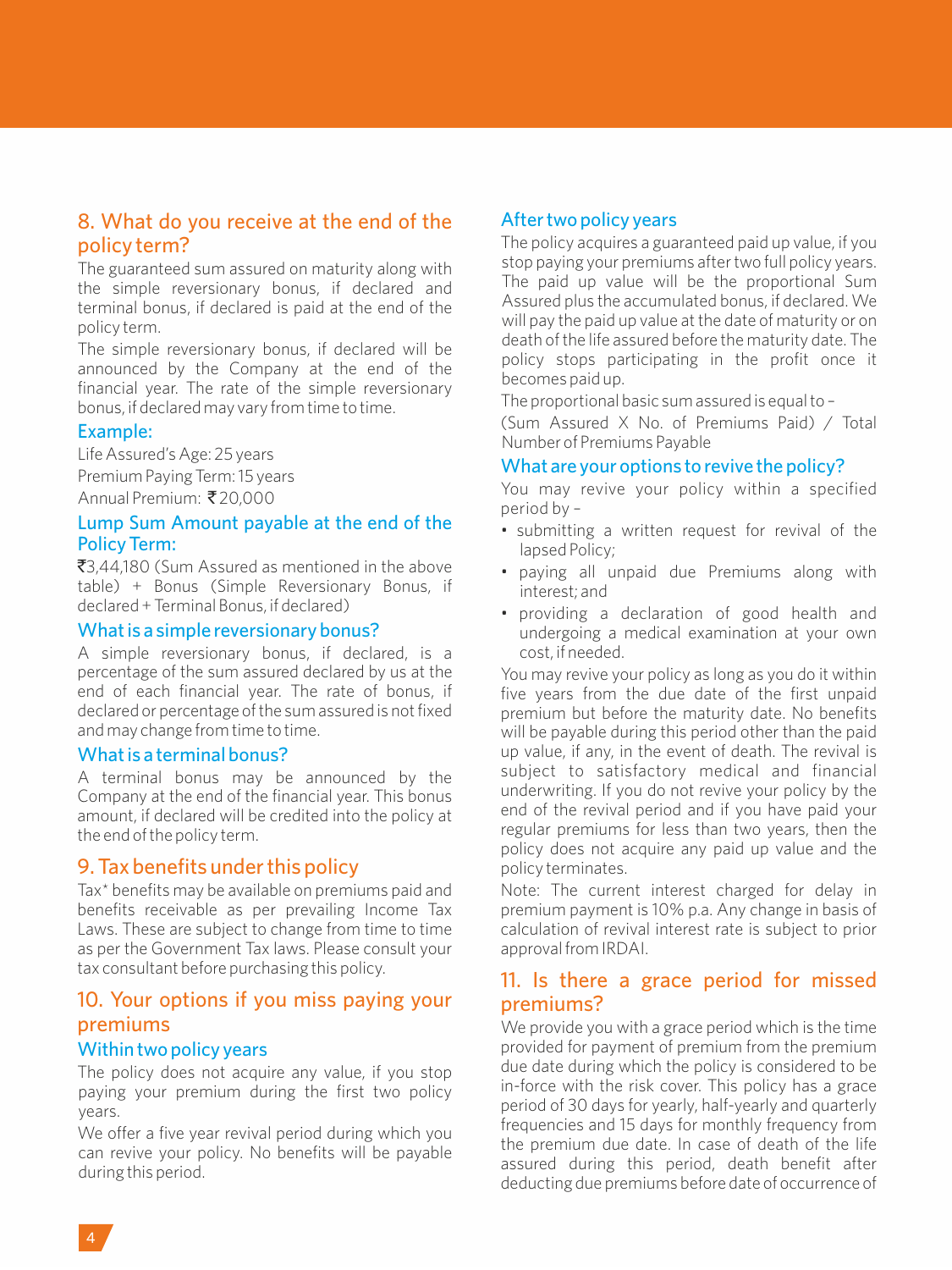# 8. What do you receive at the end of the policy term?

The guaranteed sum assured on maturity along with the simple reversionary bonus, if declared and terminal bonus, if declared is paid at the end of the policy term.

The simple reversionary bonus, if declared will be announced by the Company at the end of the financial year. The rate of the simple reversionary bonus, if declared may vary from time to time.

#### Example:

Life Assured's Age: 25 years

Premium Paying Term: 15 years Annual Premium: ₹20,000

#### Lump Sum Amount payable at the end of the Policy Term:

₹3,44,180 (Sum Assured as mentioned in the above table) + Bonus (Simple Reversionary Bonus, if declared + Terminal Bonus, if declared)

#### What is a simple reversionary bonus?

A simple reversionary bonus, if declared, is a percentage of the sum assured declared by us at the end of each financial year. The rate of bonus, if declared or percentage of the sum assured is not fixed and may change from time to time.

#### What is a terminal bonus?

A terminal bonus may be announced by the Company at the end of the financial year. This bonus amount, if declared will be credited into the policy at the end of the policy term.

# 9. Tax benefits under this policy

Tax\* benefits may be available on premiums paid and benefits receivable as per prevailing Income Tax Laws. These are subject to change from time to time as per the Government Tax laws. Please consult your tax consultant before purchasing this policy.

# 10. Your options if you miss paying your premiums

#### Within two policy years

The policy does not acquire any value, if you stop paying your premium during the first two policy years.

We offer a five year revival period during which you can revive your policy. No benefits will be payable during this period.

# After two policy years

The policy acquires a guaranteed paid up value, if you stop paying your premiums after two full policy years. The paid up value will be the proportional Sum Assured plus the accumulated bonus, if declared. We will pay the paid up value at the date of maturity or on death of the life assured before the maturity date. The policy stops participating in the profit once it becomes paid up.

The proportional basic sum assured is equal to –

(Sum Assured X No. of Premiums Paid) / Total Number of Premiums Payable

#### What are your options to revive the policy?

You may revive your policy within a specified period by –

- •submitting a written request for revival of the lapsed Policy;
- paying all unpaid due Premiums along with interest; and
- providing a declaration of good health and undergoing a medical examination at your own cost, if needed.

You may revive your policy as long as you do it within five years from the due date of the first unpaid premium but before the maturity date. No benefits will be payable during this period other than the paid up value, if any, in the event of death. The revival is subject to satisfactory medical and financial underwriting. If you do not revive your policy by the end of the revival period and if you have paid your regular premiums for less than two years, then the policy does not acquire any paid up value and the policy terminates.

Note: The current interest charged for delay in premium payment is 10% p.a. Any change in basis of calculation of revival interest rate is subject to prior approval from IRDAI.

# 11. Is there a grace period for missed premiums?

We provide you with a grace period which is the time provided for payment of premium from the premium due date during which the policy is considered to be in-force with the risk cover. This policy has a grace period of 30 days for yearly, half-yearly and quarterly frequencies and 15 days for monthly frequency from the premium due date. In case of death of the life assured during this period, death benefit after deducting due premiums before date of occurrence of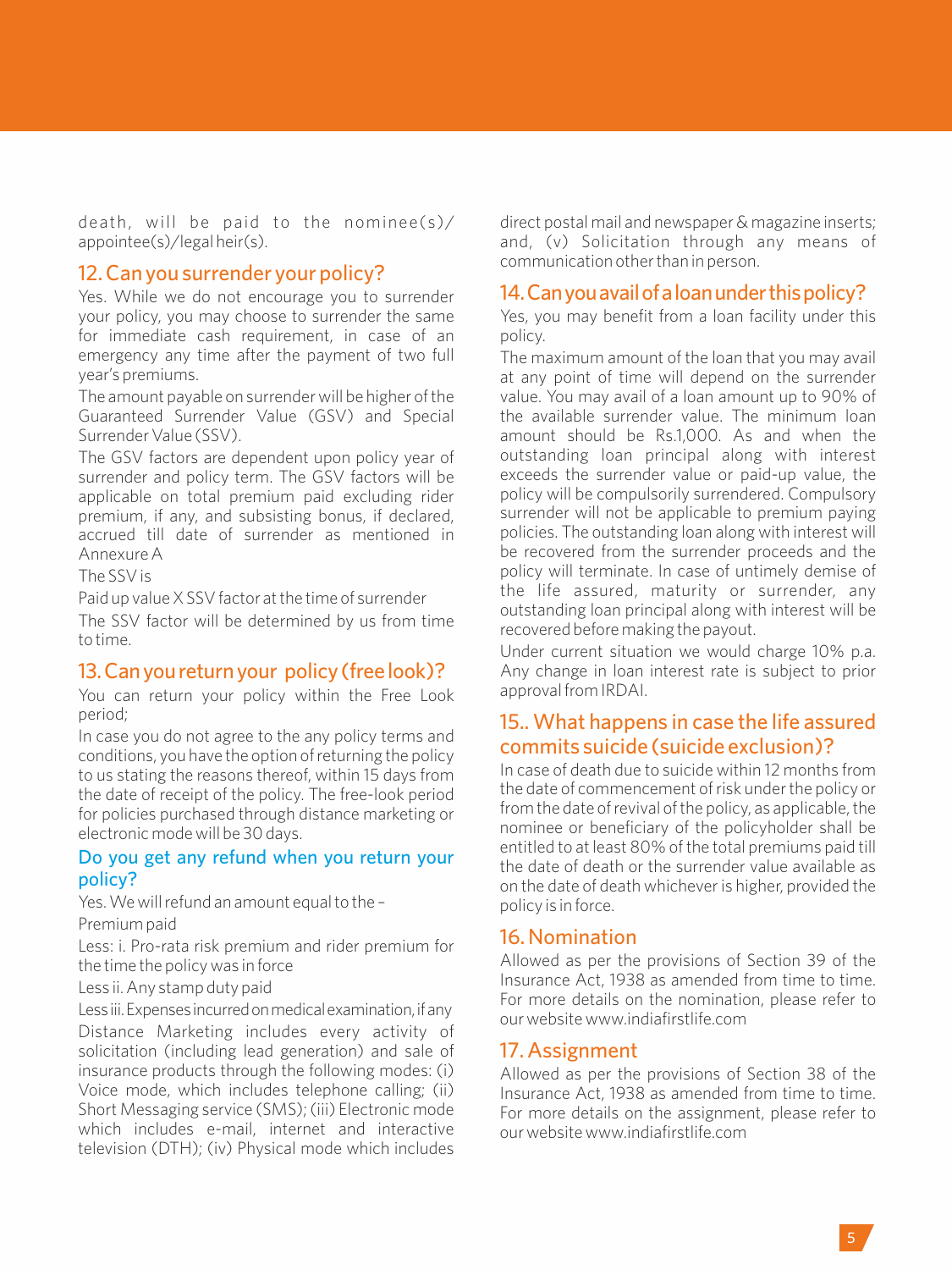death, will be paid to the nominee(s)/ appointee(s)/legal heir(s).

#### 12. Can you surrender your policy?

Yes. While we do not encourage you to surrender your policy, you may choose to surrender the same for immediate cash requirement, in case of an emergency any time after the payment of two full year's premiums.

The amount payable on surrender will be higher of the Guaranteed Surrender Value (GSV) and Special Surrender Value (SSV).

The GSV factors are dependent upon policy year of surrender and policy term. The GSV factors will be applicable on total premium paid excluding rider premium, if any, and subsisting bonus, if declared, accrued till date of surrender as mentioned in Annexure A

The SSV is

Paid up value X SSV factor at the time of surrender The SSV factor will be determined by us from time to time.

#### 13.Canyoureturnyour policy(freelook)?

You can return your policy within the Free Look period;

In case you do not agree to the any policy terms and conditions, you have the option of returning the policy to us stating the reasons thereof, within 15 days from the date of receipt of the policy. The free-look period for policies purchased through distance marketing or electronic mode will be 30 days.

#### Do you get any refund when you return your policy?

Yes. We will refund an amount equal to the –

Premium paid

Less: i. Pro-rata risk premium and rider premium for the time the policy was in force

Less ii. Any stamp duty paid

Lessiii. Expenses incurred on medical examination, if any

Distance Marketing includes every activity of solicitation (including lead generation) and sale of insurance products through the following modes: (i) Voice mode, which includes telephone calling; (ii) Short Messaging service (SMS); (iii) Electronic mode which includes e-mail, internet and interactive television (DTH); (iv) Physical mode which includes direct postal mail and newspaper & magazine inserts; and, (v) Solicitation through any means of communication other than in person.

#### 14.Canyouavailofaloanunderthispolicy?

Yes, you may benefit from a loan facility under this policy.

The maximum amount of the loan that you may avail at any point of time will depend on the surrender value. You may avail of a loan amount up to 90% of the available surrender value. The minimum loan amount should be Rs.1,000. As and when the outstanding loan principal along with interest exceeds the surrender value or paid-up value, the policy will be compulsorily surrendered. Compulsory surrender will not be applicable to premium paying policies. The outstanding loan along with interest will be recovered from the surrender proceeds and the policy will terminate. In case of untimely demise of the life assured, maturity or surrender, any outstanding loan principal along with interest will be recovered before making the payout.

Under current situation we would charge 10% p.a. Any change in loan interest rate is subject to prior approval from IRDAI.

# 15.. What happens in case the life assured commits suicide (suicide exclusion)?

In case of death due to suicide within 12 months from the date of commencement of risk under the policy or from the date of revival of the policy, as applicable, the nominee or beneficiary of the policyholder shall be entitled to at least 80% of the total premiums paid till the date of death or the surrender value available as on the date of death whichever is higher, provided the policy is in force.

# 16. Nomination

Allowed as per the provisions of Section 39 of the Insurance Act, 1938 as amended from time to time. For more details on the nomination, please refer to our website www.indiafirstlife.com

#### 17. Assignment

Allowed as per the provisions of Section 38 of the Insurance Act, 1938 as amended from time to time. For more details on the assignment, please refer to our website www.indiafirstlife.com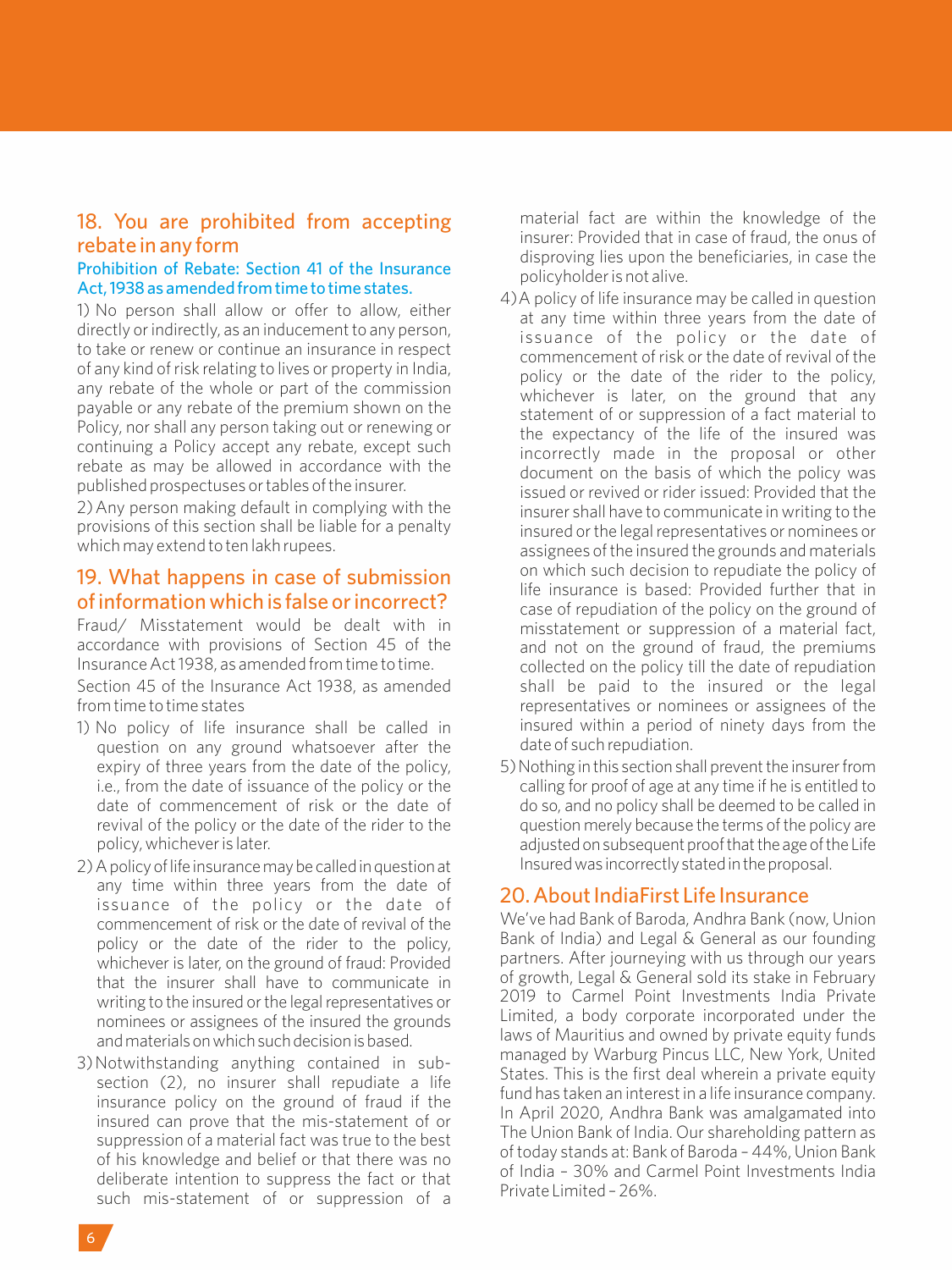# 18. You are prohibited from accepting rebate in any form

#### Prohibition of Rebate: Section 41 of the Insurance Act, 1938 as amended from time to time states.

1) No person shall allow or offer to allow, either directly or indirectly, as an inducement to any person, to take or renew or continue an insurance in respect of any kind of risk relating to lives or property in India, any rebate of the whole or part of the commission payable or any rebate of the premium shown on the Policy, nor shall any person taking out or renewing or continuing a Policy accept any rebate, except such rebate as may be allowed in accordance with the published prospectuses or tables of the insurer.

2) Any person making default in complying with the provisions of this section shall be liable for a penalty which may extend to ten lakh rupees.

# 19. What happens in case of submission of information which is false or incorrect?

Fraud/ Misstatement would be dealt with in accordance with provisions of Section 45 of the Insurance Act 1938, as amended from time to time.

Section 45 of the Insurance Act 1938, as amended from time to time states

- 1) No policy of life insurance shall be called in question on any ground whatsoever after the expiry of three years from the date of the policy, i.e., from the date of issuance of the policy or the date of commencement of risk or the date of revival of the policy or the date of the rider to the policy, whichever is later.
- 2) A policy of life insurance may be called in question at any time within three years from the date of issuance of the policy or the date of commencement of risk or the date of revival of the policy or the date of the rider to the policy, whichever is later, on the ground of fraud: Provided that the insurer shall have to communicate in writing to the insured or the legal representatives or nominees or assignees of the insured the grounds andmaterialsonwhichsuchdecisionisbased.
- 3) Notwithstanding anything contained in subsection (2), no insurer shall repudiate a life insurance policy on the ground of fraud if the insured can prove that the mis-statement of or suppression of a material fact was true to the best of his knowledge and belief or that there was no deliberate intention to suppress the fact or that such mis-statement of or suppression of a

material fact are within the knowledge of the insurer: Provided that in case of fraud, the onus of disproving lies upon the beneficiaries, in case the policyholder is not alive.

- 4) A policy of life insurance may be called in question at any time within three years from the date of issuance of the policy or the date of commencement of risk or the date of revival of the policy or the date of the rider to the policy, whichever is later, on the ground that any statement of or suppression of a fact material to the expectancy of the life of the insured was incorrectly made in the proposal or other document on the basis of which the policy was issued or revived or rider issued: Provided that the insurer shall have to communicate in writing to the insured or the legal representatives or nominees or assignees of the insured the grounds and materials on which such decision to repudiate the policy of life insurance is based: Provided further that in case of repudiation of the policy on the ground of misstatement or suppression of a material fact, and not on the ground of fraud, the premiums collected on the policy till the date of repudiation shall be paid to the insured or the legal representatives or nominees or assignees of the insured within a period of ninety days from the date of such repudiation.
- 5) Nothing in this section shall prevent the insurer from calling for proof of age at any time if he is entitled to do so, and no policy shall be deemed to be called in question merely because the terms of the policy are adjusted on subsequent proof that the age of the Life Insuredwas incorrectlystatedintheproposal.

# 20. About IndiaFirst Life Insurance

We've had Bank of Baroda, Andhra Bank (now, Union Bank of India) and Legal & General as our founding partners. After journeying with us through our years of growth, Legal & General sold its stake in February 2019 to Carmel Point Investments India Private Limited, a body corporate incorporated under the laws of Mauritius and owned by private equity funds managed by Warburg Pincus LLC, New York, United States. This is the first deal wherein a private equity fund has taken an interest in a life insurance company. In April 2020, Andhra Bank was amalgamated into The Union Bank of India. Our shareholding pattern as of today stands at: Bank of Baroda – 44%, Union Bank of India – 30% and Carmel Point Investments India Private Limited - 26%.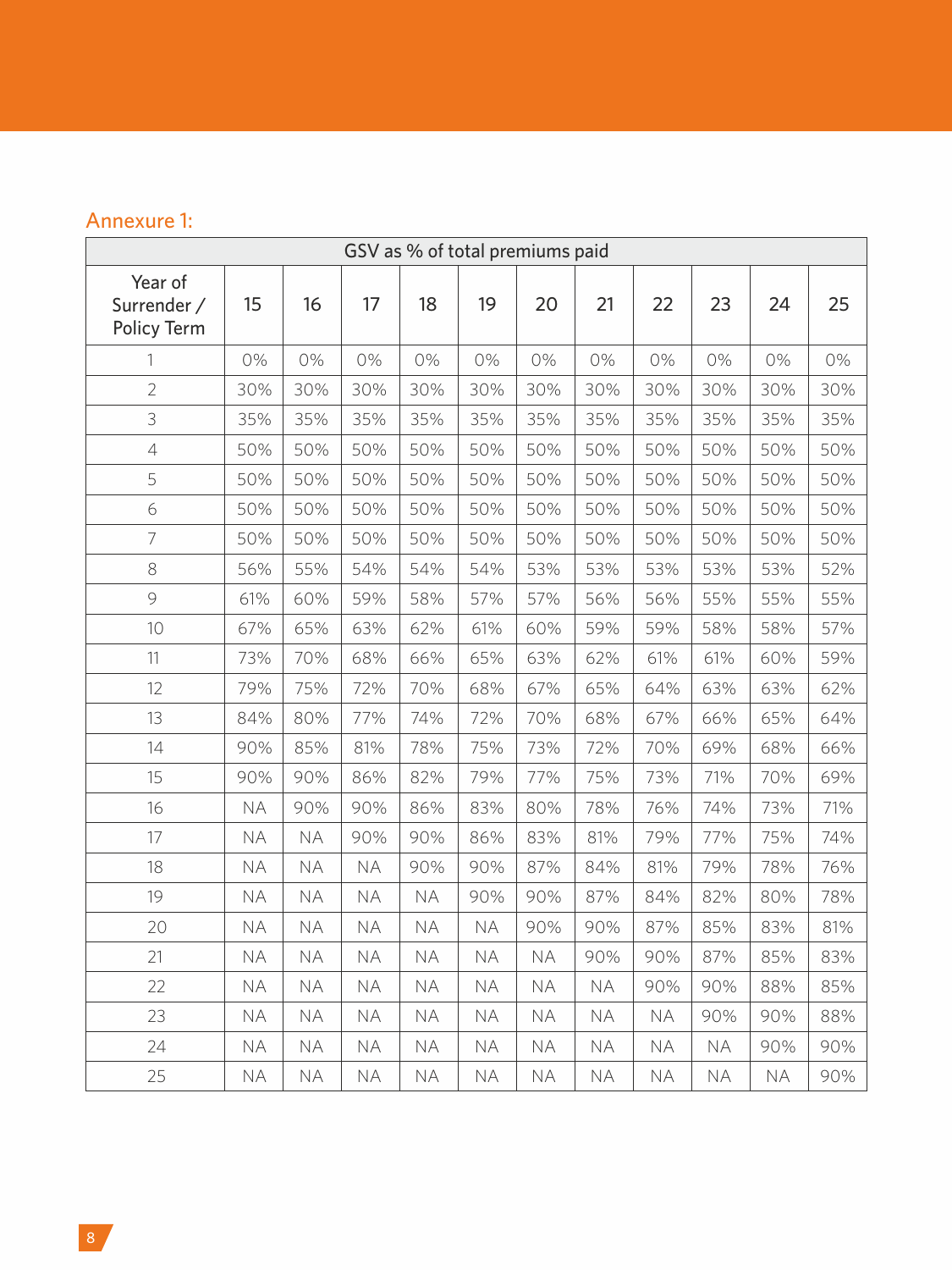# Annexure 1:

| GSV as % of total premiums paid       |           |           |           |           |           |           |           |           |           |           |     |
|---------------------------------------|-----------|-----------|-----------|-----------|-----------|-----------|-----------|-----------|-----------|-----------|-----|
| Year of<br>Surrender /<br>Policy Term | 15        | 16        | 17        | 18        | 19        | 20        | 21        | 22        | 23        | 24        | 25  |
| 1                                     | 0%        | 0%        | 0%        | 0%        | 0%        | 0%        | 0%        | 0%        | 0%        | 0%        | 0%  |
| $\overline{2}$                        | 30%       | 30%       | 30%       | 30%       | 30%       | 30%       | 30%       | 30%       | 30%       | 30%       | 30% |
| 3                                     | 35%       | 35%       | 35%       | 35%       | 35%       | 35%       | 35%       | 35%       | 35%       | 35%       | 35% |
| $\overline{4}$                        | 50%       | 50%       | 50%       | 50%       | 50%       | 50%       | 50%       | 50%       | 50%       | 50%       | 50% |
| 5                                     | 50%       | 50%       | 50%       | 50%       | 50%       | 50%       | 50%       | 50%       | 50%       | 50%       | 50% |
| 6                                     | 50%       | 50%       | 50%       | 50%       | 50%       | 50%       | 50%       | 50%       | 50%       | 50%       | 50% |
| $\overline{7}$                        | 50%       | 50%       | 50%       | 50%       | 50%       | 50%       | 50%       | 50%       | 50%       | 50%       | 50% |
| 8                                     | 56%       | 55%       | 54%       | 54%       | 54%       | 53%       | 53%       | 53%       | 53%       | 53%       | 52% |
| 9                                     | 61%       | 60%       | 59%       | 58%       | 57%       | 57%       | 56%       | 56%       | 55%       | 55%       | 55% |
| 10                                    | 67%       | 65%       | 63%       | 62%       | 61%       | 60%       | 59%       | 59%       | 58%       | 58%       | 57% |
| 11                                    | 73%       | 70%       | 68%       | 66%       | 65%       | 63%       | 62%       | 61%       | 61%       | 60%       | 59% |
| 12                                    | 79%       | 75%       | 72%       | 70%       | 68%       | 67%       | 65%       | 64%       | 63%       | 63%       | 62% |
| 13                                    | 84%       | 80%       | 77%       | 74%       | 72%       | 70%       | 68%       | 67%       | 66%       | 65%       | 64% |
| 14                                    | 90%       | 85%       | 81%       | 78%       | 75%       | 73%       | 72%       | 70%       | 69%       | 68%       | 66% |
| 15                                    | 90%       | 90%       | 86%       | 82%       | 79%       | 77%       | 75%       | 73%       | 71%       | 70%       | 69% |
| 16                                    | <b>NA</b> | 90%       | 90%       | 86%       | 83%       | 80%       | 78%       | 76%       | 74%       | 73%       | 71% |
| 17                                    | <b>NA</b> | <b>NA</b> | 90%       | 90%       | 86%       | 83%       | 81%       | 79%       | 77%       | 75%       | 74% |
| 18                                    | <b>NA</b> | <b>NA</b> | <b>NA</b> | 90%       | 90%       | 87%       | 84%       | 81%       | 79%       | 78%       | 76% |
| 19                                    | <b>NA</b> | <b>NA</b> | <b>NA</b> | <b>NA</b> | 90%       | 90%       | 87%       | 84%       | 82%       | 80%       | 78% |
| 20                                    | <b>NA</b> | <b>NA</b> | <b>NA</b> | <b>NA</b> | <b>NA</b> | 90%       | 90%       | 87%       | 85%       | 83%       | 81% |
| 21                                    | <b>NA</b> | <b>NA</b> | <b>NA</b> | <b>NA</b> | <b>NA</b> | <b>NA</b> | 90%       | 90%       | 87%       | 85%       | 83% |
| 22                                    | <b>NA</b> | <b>NA</b> | <b>NA</b> | <b>NA</b> | <b>NA</b> | <b>NA</b> | <b>NA</b> | 90%       | 90%       | 88%       | 85% |
| 23                                    | <b>NA</b> | <b>NA</b> | <b>NA</b> | <b>NA</b> | <b>NA</b> | <b>NA</b> | <b>NA</b> | <b>NA</b> | 90%       | 90%       | 88% |
| 24                                    | <b>NA</b> | <b>NA</b> | <b>NA</b> | <b>NA</b> | <b>NA</b> | <b>NA</b> | <b>NA</b> | <b>NA</b> | <b>NA</b> | 90%       | 90% |
| 25                                    | <b>NA</b> | <b>NA</b> | <b>NA</b> | <b>NA</b> | <b>NA</b> | <b>NA</b> | <b>NA</b> | <b>NA</b> | <b>NA</b> | <b>NA</b> | 90% |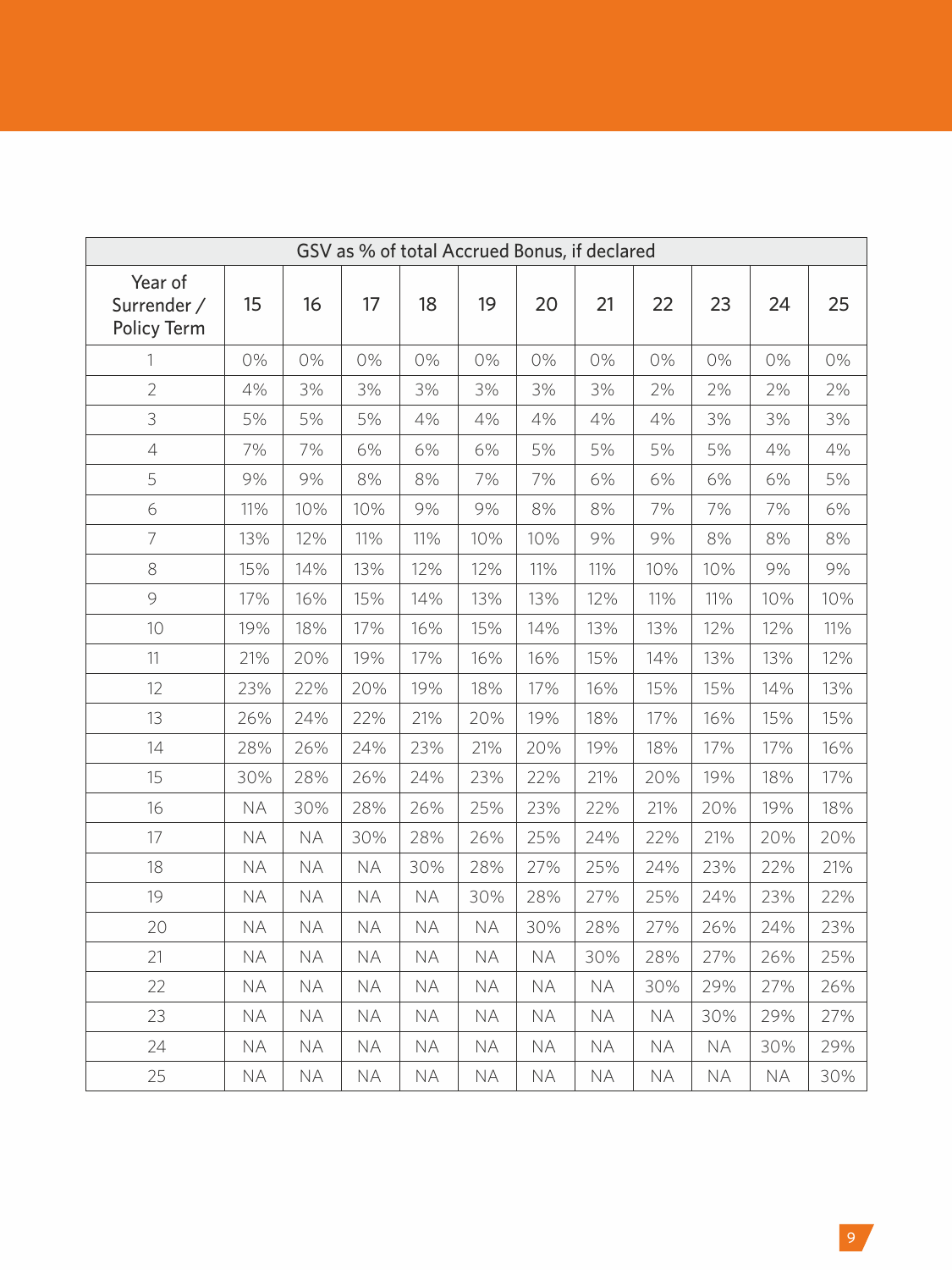| GSV as % of total Accrued Bonus, if declared |           |           |           |           |           |           |           |           |           |           |     |
|----------------------------------------------|-----------|-----------|-----------|-----------|-----------|-----------|-----------|-----------|-----------|-----------|-----|
| Year of<br>Surrender /<br>Policy Term        | 15        | 16        | 17        | 18        | 19        | 20        | 21        | 22        | 23        | 24        | 25  |
| 1                                            | 0%        | 0%        | 0%        | 0%        | 0%        | 0%        | 0%        | 0%        | 0%        | 0%        | 0%  |
| $\overline{2}$                               | 4%        | 3%        | 3%        | 3%        | 3%        | 3%        | 3%        | 2%        | 2%        | 2%        | 2%  |
| 3                                            | 5%        | 5%        | 5%        | 4%        | 4%        | 4%        | 4%        | 4%        | 3%        | 3%        | 3%  |
| $\overline{4}$                               | 7%        | 7%        | 6%        | 6%        | 6%        | 5%        | 5%        | 5%        | 5%        | 4%        | 4%  |
| 5                                            | 9%        | 9%        | 8%        | 8%        | 7%        | 7%        | 6%        | 6%        | 6%        | 6%        | 5%  |
| 6                                            | 11%       | 10%       | 10%       | 9%        | 9%        | 8%        | 8%        | 7%        | 7%        | 7%        | 6%  |
| $\overline{7}$                               | 13%       | 12%       | 11%       | 11%       | 10%       | 10%       | 9%        | 9%        | 8%        | 8%        | 8%  |
| 8                                            | 15%       | 14%       | 13%       | 12%       | 12%       | 11%       | 11%       | 10%       | 10%       | 9%        | 9%  |
| 9                                            | 17%       | 16%       | 15%       | 14%       | 13%       | 13%       | 12%       | 11%       | 11%       | 10%       | 10% |
| 10                                           | 19%       | 18%       | 17%       | 16%       | 15%       | 14%       | 13%       | 13%       | 12%       | 12%       | 11% |
| 11                                           | 21%       | 20%       | 19%       | 17%       | 16%       | 16%       | 15%       | 14%       | 13%       | 13%       | 12% |
| 12                                           | 23%       | 22%       | 20%       | 19%       | 18%       | 17%       | 16%       | 15%       | 15%       | 14%       | 13% |
| 13                                           | 26%       | 24%       | 22%       | 21%       | 20%       | 19%       | 18%       | 17%       | 16%       | 15%       | 15% |
| 14                                           | 28%       | 26%       | 24%       | 23%       | 21%       | 20%       | 19%       | 18%       | 17%       | 17%       | 16% |
| 15                                           | 30%       | 28%       | 26%       | 24%       | 23%       | 22%       | 21%       | 20%       | 19%       | 18%       | 17% |
| 16                                           | <b>NA</b> | 30%       | 28%       | 26%       | 25%       | 23%       | 22%       | 21%       | 20%       | 19%       | 18% |
| 17                                           | <b>NA</b> | <b>NA</b> | 30%       | 28%       | 26%       | 25%       | 24%       | 22%       | 21%       | 20%       | 20% |
| 18                                           | <b>NA</b> | NA.       | <b>NA</b> | 30%       | 28%       | 27%       | 25%       | 24%       | 23%       | 22%       | 21% |
| 19                                           | <b>NA</b> | <b>NA</b> | <b>NA</b> | <b>NA</b> | 30%       | 28%       | 27%       | 25%       | 24%       | 23%       | 22% |
| 20                                           | <b>NA</b> | <b>NA</b> | <b>NA</b> | <b>NA</b> | <b>NA</b> | 30%       | 28%       | 27%       | 26%       | 24%       | 23% |
| 21                                           | <b>NA</b> | <b>NA</b> | <b>NA</b> | <b>NA</b> | <b>NA</b> | <b>NA</b> | 30%       | 28%       | 27%       | 26%       | 25% |
| 22                                           | <b>NA</b> | <b>NA</b> | <b>NA</b> | <b>NA</b> | <b>NA</b> | <b>NA</b> | <b>NA</b> | 30%       | 29%       | 27%       | 26% |
| 23                                           | <b>NA</b> | ΝA        | <b>NA</b> | <b>NA</b> | <b>NA</b> | NA        | <b>NA</b> | <b>NA</b> | 30%       | 29%       | 27% |
| 24                                           | <b>NA</b> | <b>NA</b> | <b>NA</b> | <b>NA</b> | <b>NA</b> | <b>NA</b> | <b>NA</b> | <b>NA</b> | <b>NA</b> | 30%       | 29% |
| 25                                           | <b>NA</b> | ΝA        | <b>NA</b> | <b>NA</b> | ΝA        | ΝA        | <b>NA</b> | <b>NA</b> | <b>NA</b> | <b>NA</b> | 30% |